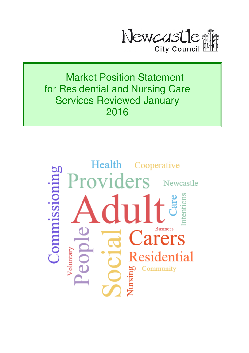

Market Position Statement for Residential and Nursing Care Services Reviewed January 2016

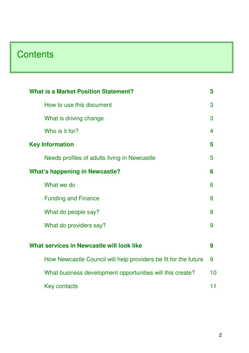# **Contents**

| <b>What is a Market Position Statement?</b><br>3                |    |  |  |
|-----------------------------------------------------------------|----|--|--|
| How to use this document                                        | 3  |  |  |
| What is driving change                                          | 3  |  |  |
| Who is it for?                                                  | 4  |  |  |
| <b>Key Information</b>                                          | 5  |  |  |
| Needs profiles of adults living in Newcastle                    | 5  |  |  |
| <b>What's happening in Newcastle?</b>                           |    |  |  |
| What we do                                                      | 6  |  |  |
| <b>Funding and Finance</b>                                      | 8  |  |  |
| What do people say?                                             | 8  |  |  |
| What do providers say?                                          | 9  |  |  |
| What services in Newcastle will look like                       | 9  |  |  |
| How Newcastle Council will help providers be fit for the future | 9  |  |  |
|                                                                 |    |  |  |
| What business development opportunities will this create?       | 10 |  |  |
| <b>Key contacts</b>                                             | 11 |  |  |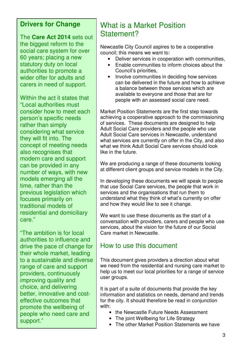#### **Drivers for Change**

The **Care Act 2014** sets out the biggest reform to the social care system for over 60 years; placing a new statutory duty on local authorities to promote a wider offer for adults and carers in need of support.

Within the act it states that "Local authorities must consider how to meet each person's specific needs rather than simply considering what service they will fit into. The concept of meeting needs also recognises that modern care and support can be provided in any number of ways, with new models emerging all the time, rather than the previous legislation which focuses primarily on traditional models of residential and domiciliary care."

"The ambition is for local authorities to influence and drive the pace of change for their whole market, leading to a sustainable and diverse range of care and support providers, continuously improving quality and choice, and delivering better, innovative and costeffective outcomes that promote the wellbeing of people who need care and support."

### What is a Market Position Statement?

Newcastle City Council aspires to be a cooperative council; this means we want to:

- Deliver services in cooperation with communities,
- Enable communities to inform choices about the Council's priorities,
- Involve communities in deciding how services can be delivered in the future and how to achieve a balance between those services which are available to everyone and those that are for people with an assessed social care need.

Market Position Statements are the first step towards achieving a cooperative approach to the commissioning of services. These documents are designed to help Adult Social Care providers and the people who use Adult Social Care services in Newcastle, understand what services are currently on offer in the City, and also what we think Adult Social Care services should look like in the future.

We are producing a range of these documents looking at different client groups and service models in the City.

In developing these documents we will speak to people that use Social Care services, the people that work in services and the organisations that run them to understand what they think of what's currently on offer and how they would like to see it change.

We want to use these documents as the start of a conversation with providers, carers and people who use services, about the vision for the future of our Social Care market in Newcastle.

#### How to use this document

This document gives providers a direction about what we need from the residential and nursing care market to help us to meet our local priorities for a range of service user groups.

It is part of a suite of documents that provide the key information and statistics on needs, demand and trends for the city. It should therefore be read in conjunction with:

- the Newcastle Future Needs Assessment
- The joint Wellbeing for Life Strategy
- The other Market Position Statements we have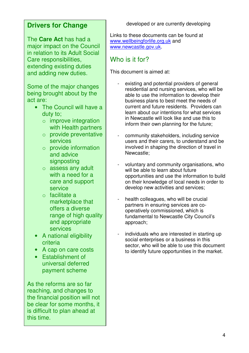### **Drivers for Change**

The **Care Act** has had a major impact on the Council in relation to its Adult Social Care responsibilities, extending existing duties and adding new duties.

Some of the major changes being brought about by the act are:

- The Council will have a duty to;
	- o improve integration with Health partners
	- o provide preventative services
	- $\circ$  provide information and advice signposting
	- o assess any adult with a need for a care and support service
	- o facilitate a marketplace that offers a diverse range of high quality and appropriate services
- A national eligibility criteria
- A cap on care costs
- Establishment of universal deferred payment scheme

As the reforms are so far reaching, and changes to the financial position will not be clear for some months, it is difficult to plan ahead at this time.

developed or are currently developing

Links to these documents can be found at www.wellbeingforlife.org.uk and www.newcastle.gov.uk.

### Who is it for?

This document is aimed at:

- existing and potential providers of general residential and nursing services, who will be able to use the information to develop their business plans to best meet the needs of current and future residents. Providers can learn about our intentions for what services in Newcastle will look like and use this to inform their own planning for the future;
- community stakeholders, including service users and their carers, to understand and be involved in shaping the direction of travel in Newcastle;
- voluntary and community organisations, who will be able to learn about future opportunities and use the information to build on their knowledge of local needs in order to develop new activities and services;
- health colleagues, who will be crucial partners in ensuring services are cooperatively commissioned, which is fundamental to Newcastle City Council's approach;
- individuals who are interested in starting up social enterprises or a business in this sector, who will be able to use this document to identify future opportunities in the market.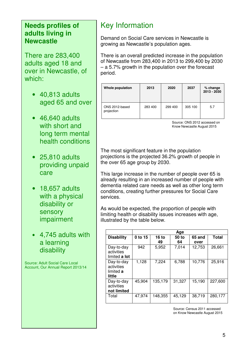#### **Needs profiles of adults living in Newcastle**

There are 283,400 adults aged 18 and over in Newcastle, of which:

- 40,813 adults aged 65 and over
- 46,640 adults with short and long term mental health conditions
- 25,810 adults providing unpaid care
- 18,657 adults with a physical disability or sensory impairment
- 4,745 adults with a learning disability

Source: Adult Social Care Local Account, Our Annual Report 2013/14

## Key Information

Demand on Social Care services in Newcastle is growing as Newcastle's population ages.

There is an overall predicted increase in the population of Newcastle from 283,400 in 2013 to 299,400 by 2030 – a 5.7% growth in the population over the forecast period.

| Whole population             | 2013    | 2020    | 2037    | % change<br>2013 - 2030 |
|------------------------------|---------|---------|---------|-------------------------|
| ONS 2012-based<br>projection | 283 400 | 299 400 | 305 100 | 5.7                     |

Source: ONS 2012 accessed on Know Newcastle August 2015

The most significant feature in the population projections is the projected 36.2% growth of people in the over 65 age group by 2030.

This large increase in the number of people over 65 is already resulting in an increased number of people with dementia related care needs as well as other long term conditions, creating further pressures for Social Care services.

As would be expected, the proportion of people with limiting health or disability issues increases with age, illustrated by the table below.

|                                                 | Age     |                    |             |                |              |
|-------------------------------------------------|---------|--------------------|-------------|----------------|--------------|
| <b>Disability</b>                               | 0 to 15 | <b>16 to</b><br>49 | 50 to<br>64 | 65 and<br>over | <b>Total</b> |
| Day-to-day<br>activities<br>limited a lot       | 942     | 5,952              | 7,014       | 12,753         | 26,661       |
| Day-to-day<br>activities<br>limited a<br>little | 1,128   | 7,224              | 6,788       | 10,776         | 25,916       |
| Day-to-day<br>activities<br>not limited         | 45.904  | 135,179            | 31,327      | 15,190         | 227,600      |
| Total                                           | 47,974  | 148,355            | 45,129      | 38,719         | 280.177      |

Source: Census 2011 accessed on Know Newcastle August 2015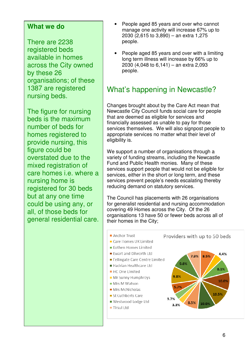#### **What we do**

There are 2238 registered beds available in homes across the City owned by these 26 organisations; of these 1387 are registered nursing beds.

The figure for nursing beds is the maximum number of beds for homes registered to provide nursing, this figure could be overstated due to the mixed registration of care homes i.e. where a nursing home is registered for 30 beds but at any one time could be using any, or all, of those beds for general residential care.

- People aged 85 years and over who cannot manage one activity will increase 67% up to 2030 (2,615 to 3,890) – an extra 1,275 people.
- People aged 85 years and over with a limiting long term illness will increase by 66% up to 2030 (4,048 to 6,141) – an extra 2,093 people.

## What's happening in Newcastle?

Changes brought about by the Care Act mean that Newcastle City Council funds social care for people that are deemed as eligible for services and financially assessed as unable to pay for those services themselves. We will also signpost people to appropriate services no matter what their level of eligibility is.

We support a number of organisations through a variety of funding streams, including the Newcastle Fund and Public Health monies. Many of these services support people that would not be eligible for services, either in the short or long term, and these services prevent people's needs escalating thereby reducing demand on statutory services.

The Council has placements with 26 organisations for generalist residential and nursing accommodation covering 49 Homes across the City. Of the 26 organisations 13 have 50 or fewer beds across all of their homes in the City;

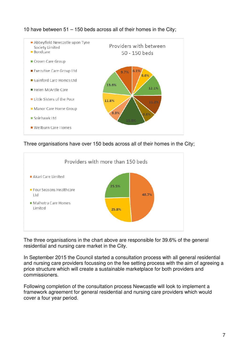

10 have between 51 – 150 beds across all of their homes in the City;

Three organisations have over 150 beds across all of their homes in the City;



The three organisations in the chart above are responsible for 39.6% of the general residential and nursing care market in the City.

In September 2015 the Council started a consultation process with all general residential and nursing care providers focussing on the fee setting process with the aim of agreeing a price structure which will create a sustainable marketplace for both providers and commissioners.

Following completion of the consultation process Newcastle will look to implement a framework agreement for general residential and nursing care providers which would cover a four year period.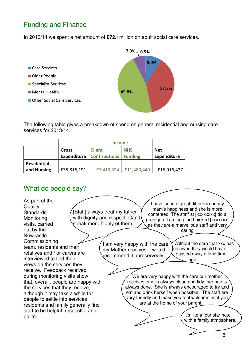### Funding and Finance

In 2013/14 we spent a net amount of **£72.1**million on adult social care services.



The following table gives a breakdown of spend on general residential and nursing care services for 2013/14.

|                    |                             | <b>Income</b>                         |                              |                           |
|--------------------|-----------------------------|---------------------------------------|------------------------------|---------------------------|
|                    | Gross<br><b>Expenditure</b> | <b>Client</b><br><b>Contributions</b> | <b>NHS</b><br><b>Funding</b> | <b>Net</b><br>Expenditure |
| <b>Residential</b> |                             |                                       |                              |                           |
| and Nursing        | £35,816,191                 | £7,419,324                            | £11,480,440                  | £16,916,427               |

#### What do people say?

[Staff] always treat my father with dignity and respect. Can't speak more highly of them. I have seen a great difference in my mam's happiness and she is more contented. The staff at [xxxxxxxx] do a great job. I am so glad I picked [xxxxxxx] as they are a marvellous staff and very caring Without the care that xxx has received they would have passed away a long time ago. As part of the **Quality Standards Monitoring** visits, carried out by the **Newcastle** Commissioning team, residents and their relatives and / or carers are interviewed to find their views on the services they receive. Feedback received during monitoring visits show that, overall, people are happy with the services that they receive, although it may take a while for people to settle into services residents and family generally find staff to be helpful, respectful and polite. I am very happy with the care my Mother receives. I would recommend it unreservedly. We are very happy with the care our mother receives, she is always clean and tidy, her hair is always done. She is always encouraged to try and eat and drink herself when possible. The staff are very friendly and make you feel welcome as if you are at the home of your parent.  $\overline{\phantom{0}}$ It's like a four star hotel with a family atmosphere.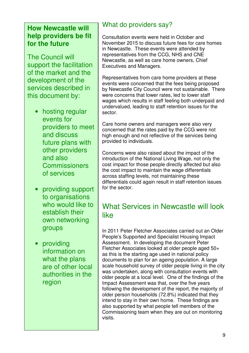#### **How Newcastle will help providers be fit for the future**

The Council will support the facilitation of the market and the development of the services described in this document by:

- hosting regular events for providers to meet and discuss future plans with other providers and also **Commissioners** of services
- providing support to organisations who would like to establish their own networking groups
- providing information on what the plans are of other local authorities in the region

### What do providers say?

Consultation events were held in October and November 2015 to discuss future fees for care homes in Newcastle. These events were attended by representatives from the CCG, NHS and CNE Newcastle, as well as care home owners, Chief Executives and Managers.

Representatives from care home providers at these events were concerned that the fees being proposed by Newcastle City Council were not sustainable. There were concerns that lower rates, led to lower staff wages which results in staff feeling both underpaid and undervalued, leading to staff retention issues for the sector.

Care home owners and managers were also very concerned that the rates paid by the CCG were not high enough and not reflective of the services being provided to individuals.

Concerns were also raised about the impact of the introduction of the National Living Wage, not only the cost impact for those people directly affected but also the cost impact to maintain the wage differentials across staffing levels, not maintaining these differentials could again result in staff retention issues for the sector.

### What Services in Newcastle will look like

In 2011 Peter Fletcher Associates carried out an Older People's Supported and Specialist Housing Impact Assessment. In developing the document Peter Fletcher Associates looked at older people aged 50+ as this is the starting age used in national policy documents to plan for an ageing population. A large scale household survey of older people living in the city was undertaken, along with consultation events with older people at a local level. One of the findings of the Impact Assessment was that, over the five years following the development of the report, the majority of older person households (72.8%) indicated that they intend to stay in their own home. These findings are also supported by what people tell members of the Commissioning team when they are out on monitoring visits.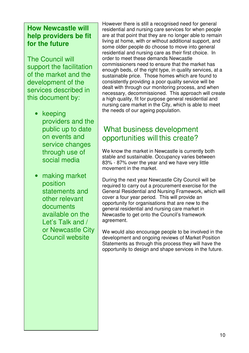#### **How Newcastle will help providers be fit for the future**

The Council will support the facilitation of the market and the development of the services described in this document by:

- keeping providers and the public up to date on events and service changes through use of social media
- making market position statements and other relevant documents available on the Let's Talk and / or Newcastle City Council website

However there is still a recognised need for general residential and nursing care services for when people are at that point that they are no longer able to remain living at home, with or without additional support, and some older people do choose to move into general residential and nursing care as their first choice. In order to meet these demands Newcastle commissioners need to ensure that the market has enough beds, of the right type, in quality services, at a sustainable price. Those homes which are found to consistently providing a poor quality service will be dealt with through our monitoring process, and when necessary, decommissioned. This approach will create a high quality, fit for purpose general residential and nursing care market in the City, which is able to meet the needs of our ageing population.

### What business development opportunities will this create?

We know the market in Newcastle is currently both stable and sustainable. Occupancy varies between 83% - 87% over the year and we have very little movement in the market.

During the next year Newcastle City Council will be required to carry out a procurement exercise for the General Residential and Nursing Framework, which will cover a four year period. This will provide an opportunity for organisations that are new to the general residential and nursing care market in Newcastle to get onto the Council's framework agreement.

We would also encourage people to be involved in the development and ongoing reviews of Market Position Statements as through this process they will have the opportunity to design and shape services in the future.